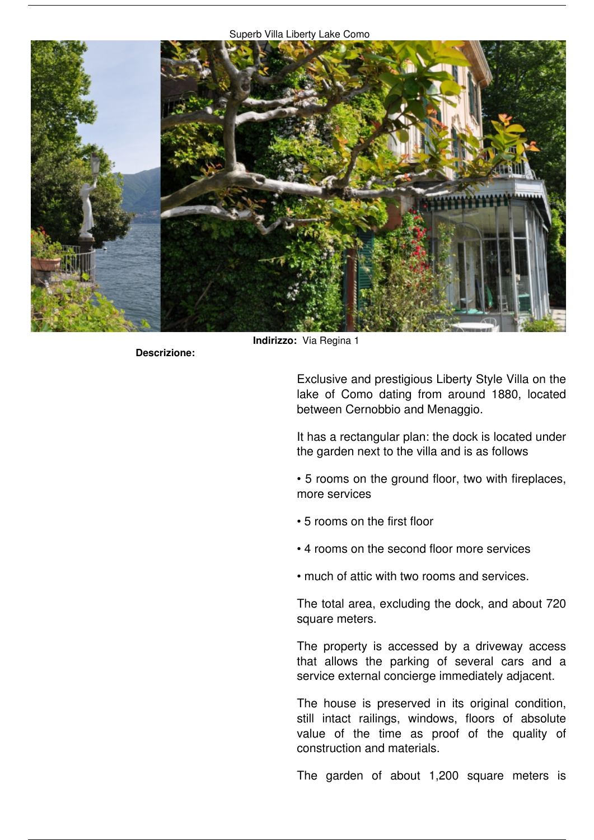

**Descrizione:** 

**Indirizzo:** *Via Regina 1*

*Exclusive and prestigious Liberty Style Villa on the lake of Como dating from around 1880, located between Cernobbio and Menaggio.*

*It has a rectangular plan: the dock is located under the garden next to the villa and is as follows*

*• 5 rooms on the ground floor, two with fireplaces, more services*

- *5 rooms on the first floor*
- *4 rooms on the second floor more services*
- *much of attic with two rooms and services.*

*The total area, excluding the dock, and about 720 square meters.*

*The property is accessed by a driveway access that allows the parking of several cars and a service external concierge immediately adjacent.*

*The house is preserved in its original condition, still intact railings, windows, floors of absolute value of the time as proof of the quality of construction and materials.*

*The garden of about 1,200 square meters is*